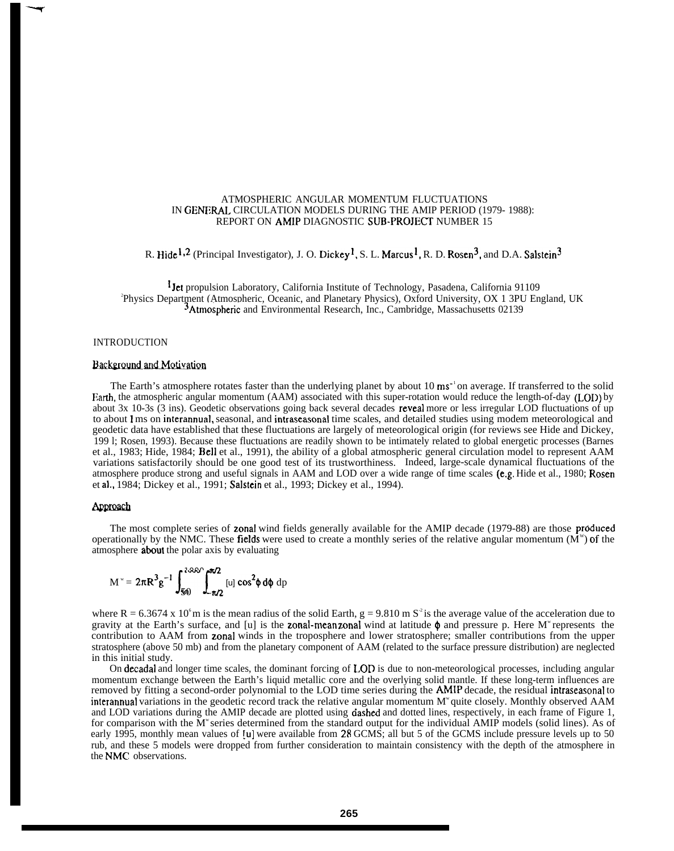# ATMOSPHERIC ANGULAR MOMENTUM FLUCTUATIONS IN GENfRAL CIRCULATION MODELS DURING THE AMIP PERIOD (1979- 1988): REPORT ON AMIP DIAGNOSTIC SUB-PROJECf' NUMBER 15

R. Hide<sup>1,2</sup> (Principal Investigator), J. O. Dickey<sup>1</sup>, S. L. Marcus<sup>1</sup>, R. D. Rosen<sup>3</sup>, and D.A. Salstein<sup>3</sup>

<sup>1</sup>Jet propulsion Laboratory, California Institute of Technology, Pasadena, California 91109 2 Physics Department (Atmospheric, Oceanic, and Planetary Physics), Oxford University, OX 1 3PU England, UK <sup>3</sup>Atmosphenc and Environmental Research, Inc., Cambridge, Massachusetts 02139

## INTRODUCTION

--w

#### Background and Motivation

The Earth's atmosphere rotates faster than the underlying planet by about 10 ms<sup>-1</sup>on average. If transferred to the solid Earth, the atmospheric angular momentum (AAM) associated with this super-rotation would reduce the length-of-day (LOD) by about 3x 10-3s (3 ins). Geodetic observations going back several decades reveal more or less irregular LOD fluctuations of up to about 1 ms on interannual, seasonal, and intraseasonal time scales, and detailed studies using modem meteorological and geodetic data have established that these fluctuations are largely of meteorological origin (for reviews see Hide and Dickey, 199 l; Rosen, 1993). Because these fluctuations are readily shown to be intimately related to global energetic processes (Barnes et al., 1983; Hide, 1984; Bell et al., 1991), the ability of a global atmospheric general circulation model to represent AAM variations satisfactorily should be one good test of its trustworthiness. Indeed, large-scale dynamical fluctuations of the atmosphere produce strong and useful signals in AAM and LOD over a wide range of time scales (e.g. Hide et al., 1980; Rosen et al,, 1984; Dickey et al., 1991; Salstein et al., 1993; Dickey et al., 1994).

#### **Approach**

The most complete series of zonal wind fields generally available for the AMIP decade (1979-88) are those produced operationally by the NMC. These fields were used to create a monthly series of the relative angular momentum  $(M^w)$  of the atmosphere about the polar axis by evaluating

$$
M^{\nu} = 2\pi R^3 g^{-1} \int_{50}^{380} \int_{-\pi/2}^{\pi/2} [u] \cos^2\phi \, d\phi \, dp
$$

where R = 6.3674 x 10<sup>6</sup>m is the mean radius of the solid Earth, g = 9.810 m S<sup>2</sup> is the average value of the acceleration due to gravity at the Earth's surface, and [u] is the zonal-mean zonal wind at latitude  $\phi$  and pressure p. Here M<sup>\*</sup> represents the contribution to AAM from zonal winds in the troposphere and lower stratosphere; smaller contributions from the upper stratosphere (above 50 mb) and from the planetary component of AAM (related to the surface pressure distribution) are neglected in this initial study.

On decadal and longer time scales, the dominant forcing of LOD is due to non-meteorological processes, including angular momentum exchange between the Earth's liquid metallic core and the overlying solid mantle. If these long-term influences are removed by fitting a second-order polynomial to the LOD time series during the AMIP decade, the residual intraseasonal to interannual variations in the geodetic record track the relative angular momentum  $M^*$  quite closely. Monthly observed AAM and LOD variations during the AMIP decade are plotted using dashed and dotted lines, respectively, in each frame of Figure 1, for comparison with the  $M^*$  series determined from the standard output for the individual AMIP models (solid lines). As of early 1995, monthly mean values of  $\left[\mu\right]$  were available from 28 GCMS; all but 5 of the GCMS include pressure levels up to 50 rub, and these 5 models were dropped from further consideration to maintain consistency with the depth of the atmosphere in the NMC observations.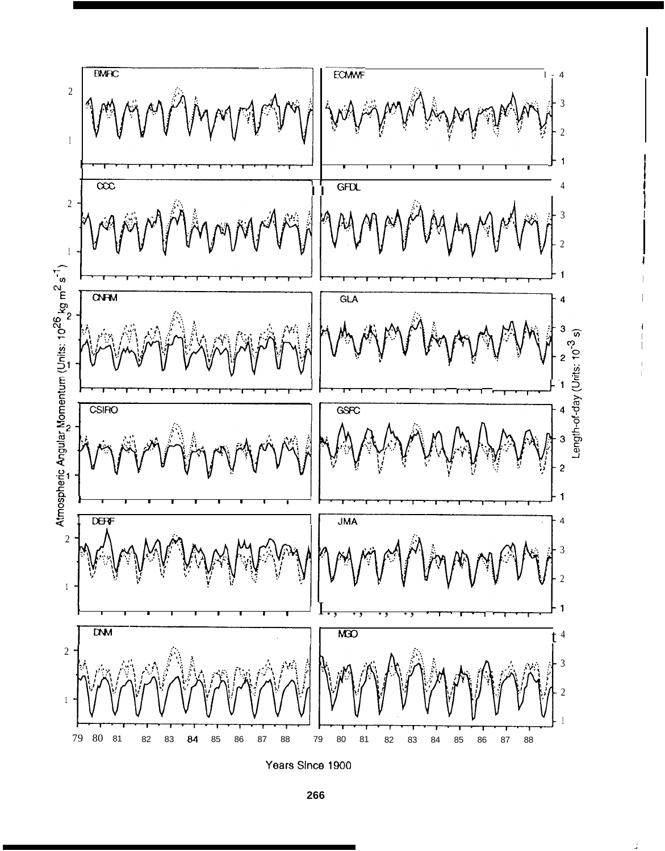

Years Since 1900

266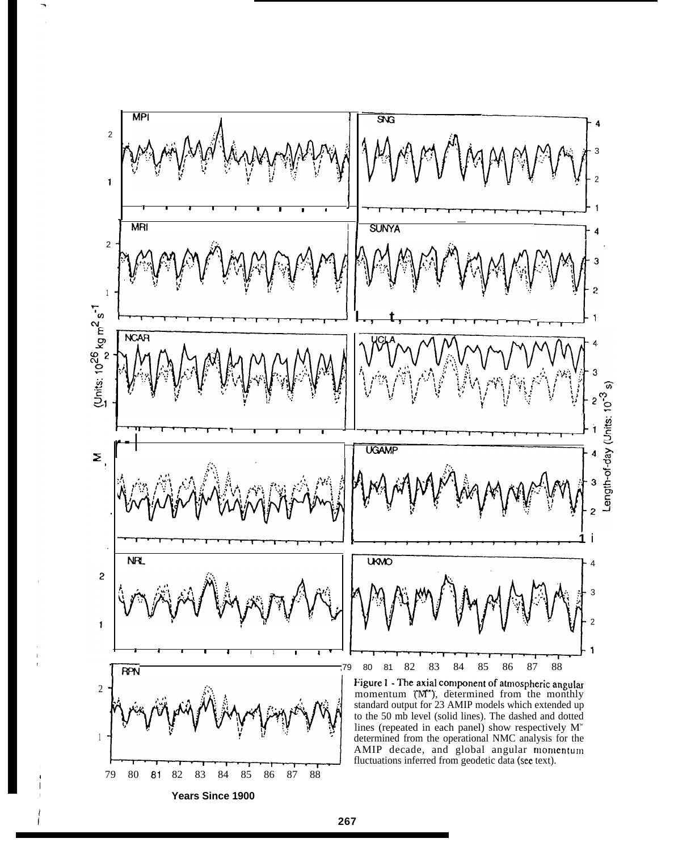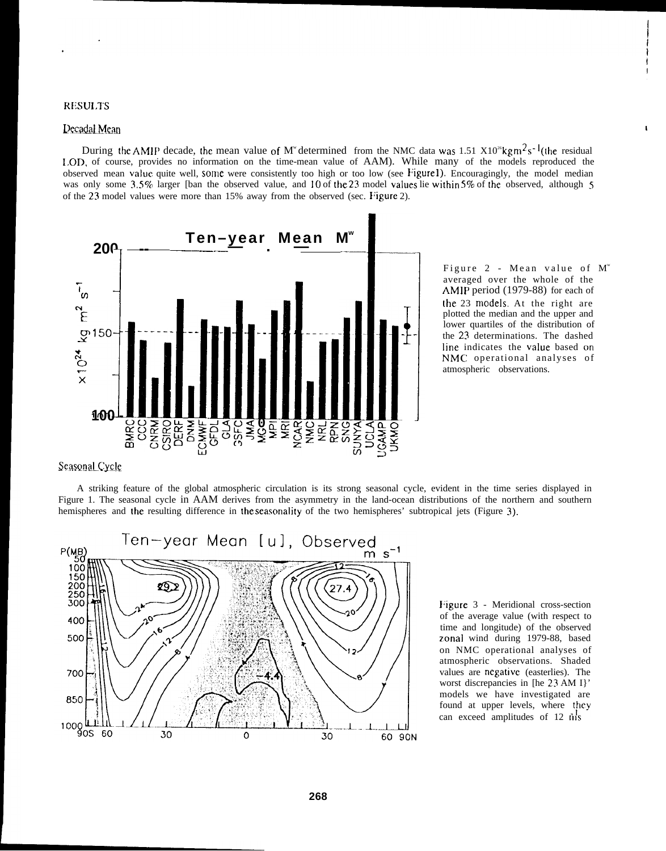## **RESULTS**

### <u>Decadal Mean</u> and the same of the same of the same of the same of the same of the same of the same of the same of the same of the same of the same of the same of the same of the same of the same of the same of the same of

During the AMIP decade, the mean value of M<sup>w</sup> determined from the NMC data was 1.51 X10<sup>26</sup>kg m<sup>2</sup>s<sup>-1</sup>(the residual I,OD, of course, provides no information on the time-mean value of AAM). While many of the models reproduced the observed mean value quite well, some were consistently too high or too low (see Figure 1). Encouragingly, the model median was only some  $3.5\%$  larger [ban the observed value, and 10 of the 23 model values lie within 5% of the observed, although 5 of the 23 model values were more than 15% away from the observed (sec. Figure 2).



Figure 2 - Mean value of M<sup>w</sup> averaged over the whole of the AMIP period (1979-88) for each of the 23 **models** At the right are plotted the median and the upper and lower quartiles of the distribution of the 23 determinations. The dashed line indicates the value based on NMC operational analyses of atmospheric observations.

# **Seasonal Cycle**

A striking feature of the global atmospheric circulation is its strong seasonal cycle, evident in the time series displayed in Figure 1. The seasonal cycle in AAM derives from the asymmetry in the land-ocean distributions of the northern and southern hemispheres and the resulting difference in the seasonality of the two hemispheres' subtropical jets (Figure 3).



Figure 3 - Meridional cross-section of the average value (with respect to time and longitude) of the observed zonal wind during 1979-88, based on NMC operational analyses of atmospheric observations. Shaded values are negative (easterlies). The worst discrepancies in [he 23 AM I}' models we have investigated are found at upper levels, where they can exceed amplitudes of 12 nis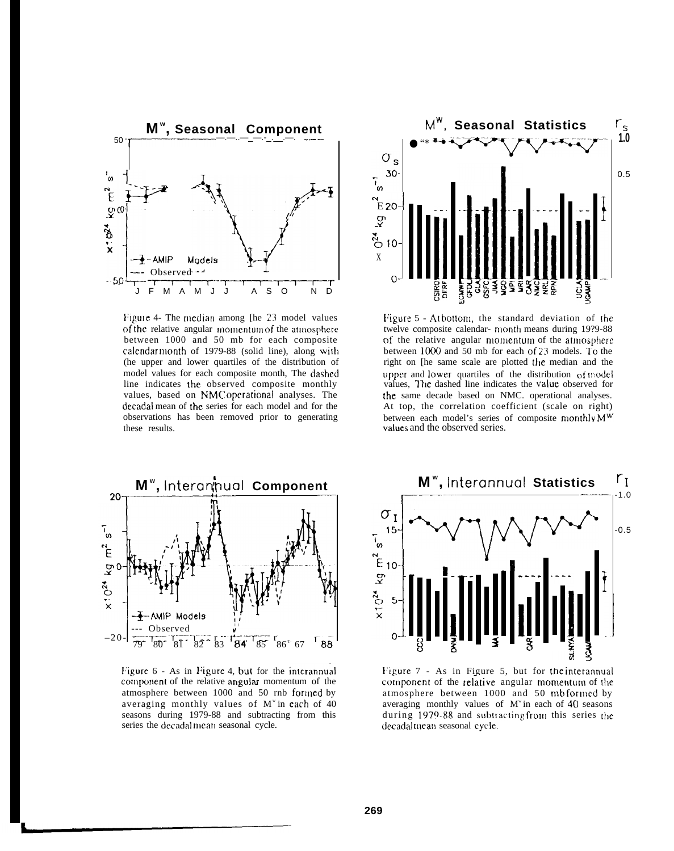

Figure 4- The median among [he 23 model values of the relative angular momentum of the atmosphere between 1000 and 50 mb for each composite calendar month of 1979-88 (solid line), along with (he upper and lower quartiles of the distribution of model values for each composite month, The dashed line indicates the observed composite monthly values, based on NMC operational analyses. The decadal mean of the series for each model and for the observations has been removed prior to generating these results.



Figure 5 - Atbottom, the standard deviation of the twelve composite calendar- month means during 19?9-88 of the relative angular momentum of the atmosphere between 1000 and 50 mb for each of 23 models. To the right on [he same scale are plotted the median and the upper and lower quartiles of the distribution of model values, The dashed line indicates the value observed for the same decade based on NMC. operational analyses. At top, the correlation coefficient (scale on right) between each model's series of composite monthly M<sup>W</sup> values and the observed series.



Figure 6 - As in Figure 4, but for the interannual component of the relative angular momentum of the atmosphere between 1000 and 50 rnb formed by averaging monthly values of M" in each of 40 seasons during 1979-88 and subtracting from this series the decadalmean seasonal cycle.



Figure 7 - As in Figure 5, but for the interannual component of the relative angular momentum of the atmosphere between 1000 and 50 mbformed by averaging monthly values of M" in each of 40 seasons during 1979-88 and subtracting from this series the decadalmean seasonal cycle.